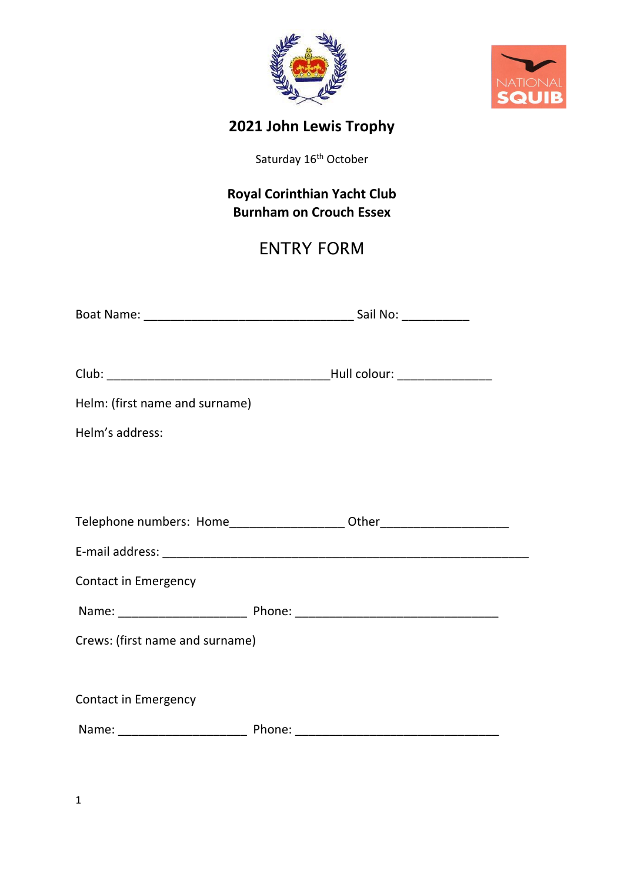



## **2021 John Lewis Trophy**

Saturday 16<sup>th</sup> October

### **Royal Corinthian Yacht Club Burnham on Crouch Essex**

# ENTRY FORM

| Helm: (first name and surname)                                                   |  |  |  |
|----------------------------------------------------------------------------------|--|--|--|
| Helm's address:                                                                  |  |  |  |
|                                                                                  |  |  |  |
|                                                                                  |  |  |  |
| Telephone numbers: Home_____________________ Other______________________________ |  |  |  |
|                                                                                  |  |  |  |
| <b>Contact in Emergency</b>                                                      |  |  |  |
|                                                                                  |  |  |  |
| Crews: (first name and surname)                                                  |  |  |  |
|                                                                                  |  |  |  |
| <b>Contact in Emergency</b>                                                      |  |  |  |
|                                                                                  |  |  |  |